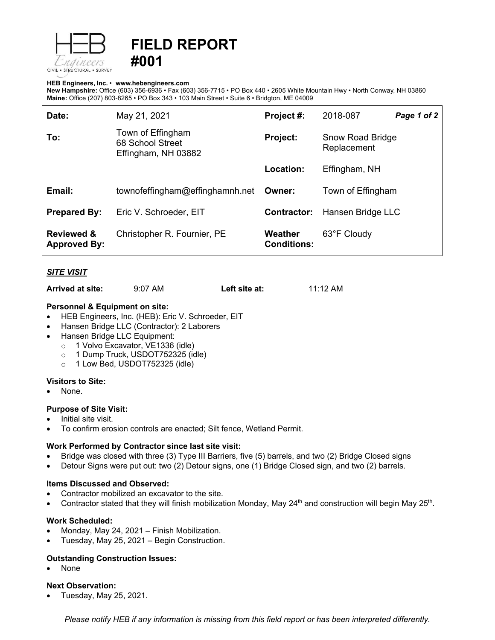

# **FIELD REPORT #001**

#### **HEB Engineers, Inc.** • **[www.hebengineer](http://www.hebengineers.com/)s.com**

**New Hampshire:** Office (603) 356-6936 • Fax (603) 356-7715 • PO Box 440 • 2605 White Mountain Hwy • North Conway, NH 03860 **Maine:** Office (207) 803-8265 • PO Box 343 • 103 Main Street • Suite 6 • Bridgton, ME 04009

| Date:                                        | May 21, 2021                                                 | Project #:                    | 2018-087                        | Page 1 of 2 |
|----------------------------------------------|--------------------------------------------------------------|-------------------------------|---------------------------------|-------------|
| To:                                          | Town of Effingham<br>68 School Street<br>Effingham, NH 03882 | <b>Project:</b>               | Snow Road Bridge<br>Replacement |             |
|                                              |                                                              | Location:                     | Effingham, NH                   |             |
| Email:                                       | townofeffingham@effinghamnh.net                              | Owner:                        | Town of Effingham               |             |
| <b>Prepared By:</b>                          | Eric V. Schroeder, EIT                                       | Contractor:                   | Hansen Bridge LLC               |             |
| <b>Reviewed &amp;</b><br><b>Approved By:</b> | Christopher R. Fournier, PE                                  | Weather<br><b>Conditions:</b> | 63°F Cloudy                     |             |

## *SITE VISIT*

**Arrived at site:** 9:07 AM **Left site at:** 11:12 AM

## **Personnel & Equipment on site:**

- HEB Engineers, Inc. (HEB): Eric V. Schroeder, EIT
- Hansen Bridge LLC (Contractor): 2 Laborers
- Hansen Bridge LLC Equipment:
	- o 1 Volvo Excavator, VE1336 (idle)
	- o 1 Dump Truck, USDOT752325 (idle)
	- o 1 Low Bed, USDOT752325 (idle)

## **Visitors to Site:**

• None.

## **Purpose of Site Visit:**

- Initial site visit.
- To confirm erosion controls are enacted; Silt fence, Wetland Permit.

## **Work Performed by Contractor since last site visit:**

- Bridge was closed with three (3) Type III Barriers, five (5) barrels, and two (2) Bridge Closed signs
- Detour Signs were put out: two (2) Detour signs, one (1) Bridge Closed sign, and two (2) barrels.

#### **Items Discussed and Observed:**

- Contractor mobilized an excavator to the site.
- Contractor stated that they will finish mobilization Monday, May  $24<sup>th</sup>$  and construction will begin May  $25<sup>th</sup>$ .

## **Work Scheduled:**

- Monday, May 24, 2021 Finish Mobilization.
- Tuesday, May 25, 2021 Begin Construction.

## **Outstanding Construction Issues:**

• None

## **Next Observation:**

• Tuesday, May 25, 2021.

*Please notify HEB if any information is missing from this field report or has been interpreted differently.*